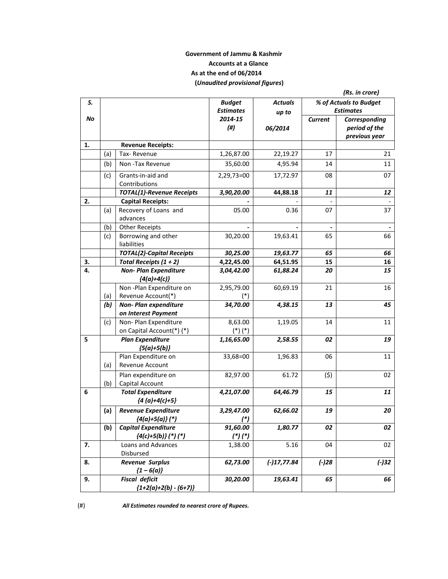# **Government of Jammu & Kashmir Accounts at a Glance As at the end of 06/2014 (***Unaudited provisional figures***)**

|    |     |                                                       |                                   |                         |                | (Rs. in crore)                                  |
|----|-----|-------------------------------------------------------|-----------------------------------|-------------------------|----------------|-------------------------------------------------|
| S. |     |                                                       | <b>Budget</b><br><b>Estimates</b> | <b>Actuals</b><br>up to |                | % of Actuals to Budget<br><b>Estimates</b>      |
| No |     |                                                       | 2014-15<br>(# <sup>)</sup>        | 06/2014                 | <b>Current</b> | Corresponding<br>period of the<br>previous year |
| 1. |     | <b>Revenue Receipts:</b>                              |                                   |                         |                |                                                 |
|    | (a) | Tax-Revenue                                           | 1,26,87.00                        | 22,19.27                | 17             | 21                                              |
|    | (b) | Non-Tax Revenue                                       | 35,60.00                          | 4,95.94                 | 14             | 11                                              |
|    | (c) | Grants-in-aid and<br>Contributions                    | 2,29,73=00                        | 17,72.97                | 08             | 07                                              |
|    |     | <b>TOTAL(1)-Revenue Receipts</b>                      | 3,90,20.00                        | 44,88.18                | 11             | 12                                              |
| 2. |     | <b>Capital Receipts:</b>                              |                                   |                         |                |                                                 |
|    | (a) | Recovery of Loans and<br>advances                     | 05.00                             | 0.36                    | 07             | 37                                              |
|    | (b) | <b>Other Receipts</b>                                 |                                   |                         |                |                                                 |
|    | (c) | Borrowing and other<br>liabilities                    | 30,20.00                          | 19,63.41                | 65             | 66                                              |
|    |     | <b>TOTAL(2)-Capital Receipts</b>                      | 30,25.00                          | 19,63.77                | 65             | 66                                              |
| 3. |     | Total Receipts $(1 + 2)$                              | 4,22,45.00                        | 64,51.95                | 15             | 16                                              |
| 4. |     | <b>Non- Plan Expenditure</b><br>${4(a)+4(c)}$         | 3,04,42.00                        | 61,88.24                | 20             | 15                                              |
|    | (a) | Non-Plan Expenditure on<br>Revenue Account(*)         | 2,95,79.00                        | 60,69.19                | 21             | 16                                              |
|    | (b) | Non-Plan expenditure<br>on Interest Payment           | 34,70.00                          | 4,38.15                 | 13             | 45                                              |
|    | (c) | Non-Plan Expenditure<br>on Capital Account(*) (*)     | 8,63.00<br>$(*) (*)$              | 1,19.05                 | 14             | 11                                              |
| 5  |     | <b>Plan Expenditure</b><br>${5(a)+5(b)}$              | 1,16,65.00                        | 2,58.55                 | 02             | 19                                              |
|    | (a) | Plan Expenditure on<br><b>Revenue Account</b>         | 33,68=00                          | 1,96.83                 | 06             | 11                                              |
|    | (b) | Plan expenditure on<br>Capital Account                | 82,97.00                          | 61.72                   | (5)            | 02                                              |
| 6  |     | <b>Total Expenditure</b><br>${4 (a)+4(c)+5}$          | 4,21,07.00                        | 64,46.79                | 15             | 11                                              |
|    | (a) | <b>Revenue Expenditure</b><br>${4(a)+5(a)}$ (*)       | 3,29,47.00<br>$(*)$               | 62,66.02                | 19             | 20                                              |
|    | (b) | <b>Capital Expenditure</b><br>$\{4(c)+5(b)\}$ (*) (*) | 91,60.00<br>$(*)$ (*)             | 1,80.77                 | 02             | 02                                              |
| 7. |     | Loans and Advances<br>Disbursed                       | 1,38.00                           | 5.16                    | 04             | 02                                              |
| 8. |     | <b>Revenue Surplus</b><br>${1-6(a)}$                  | 62,73.00                          | $(-)17,77.84$           | $(-)28$        | $(-)32$                                         |
| 9. |     | <b>Fiscal deficit</b><br>${1+2(a)+2(b) - (6+7)}$      | 30,20.00                          | 19,63.41                | 65             | 66                                              |

(#) *All Estimates rounded to nearest crore of Rupees.*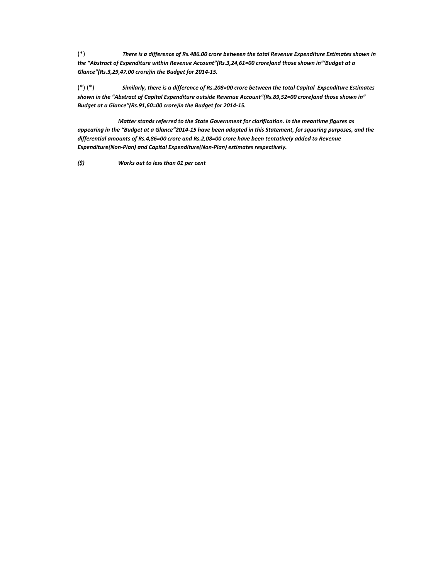$(*)$  There is a difference of Rs.486.00 crore between the total Revenue Expenditure Estimates shown in *the "Abstract of Expenditure within Revenue Account"(Rs.3,24,61=00 crore)and those shown in"'Budget at a Glance"(Rs.3,29,47.00 crore)in the Budget for 2014‐15.*

 $(*)$  (\*) Similarly, there is a difference of Rs.208=00 crore between the total Capital Expenditure Estimates *shown in the "Abstract of Capital Expenditure outside Revenue Account"(Rs.89,52=00 crore)and those shown in" Budget at a Glance"(Rs.91,60=00 crore)in the Budget for 2014‐15.*

Matter stands referred to the State Government for clarification. In the meantime figures as appearing in the "Budget at a Glance"2014-15 have been adopted in this Statement, for squaring purposes, and the *differential amounts of Rs.4,86=00 crore and Rs.2,08=00 crore have been tentatively added to Revenue Expenditure(Non‐Plan) and Capital Expenditure(Non‐Plan) estimates respectively.*

*(\$) Works out to less than 01 per cent*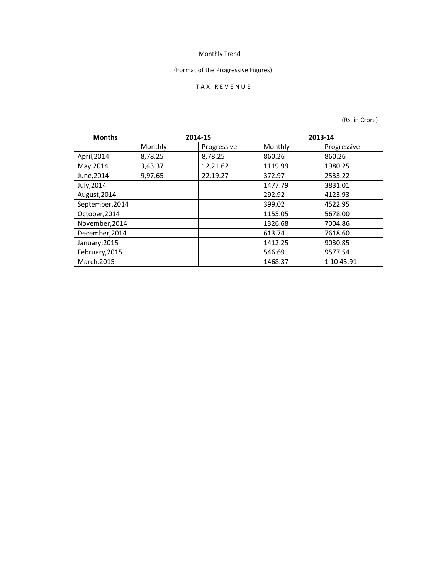# (Format of the Progressive Figures)

# T A X R E V E N U E

| <b>Months</b>   | 2014-15 |             | 2013-14 |             |
|-----------------|---------|-------------|---------|-------------|
|                 | Monthly | Progressive | Monthly | Progressive |
| April, 2014     | 8,78.25 | 8,78.25     | 860.26  | 860.26      |
| May, 2014       | 3,43.37 | 12,21.62    | 1119.99 | 1980.25     |
| June, 2014      | 9,97.65 | 22,19.27    | 372.97  | 2533.22     |
| July, 2014      |         |             | 1477.79 | 3831.01     |
| August, 2014    |         |             | 292.92  | 4123.93     |
| September, 2014 |         |             | 399.02  | 4522.95     |
| October, 2014   |         |             | 1155.05 | 5678.00     |
| November, 2014  |         |             | 1326.68 | 7004.86     |
| December, 2014  |         |             | 613.74  | 7618.60     |
| January, 2015   |         |             | 1412.25 | 9030.85     |
| February, 2015  |         |             | 546.69  | 9577.54     |
| March, 2015     |         |             | 1468.37 | 1 10 45.91  |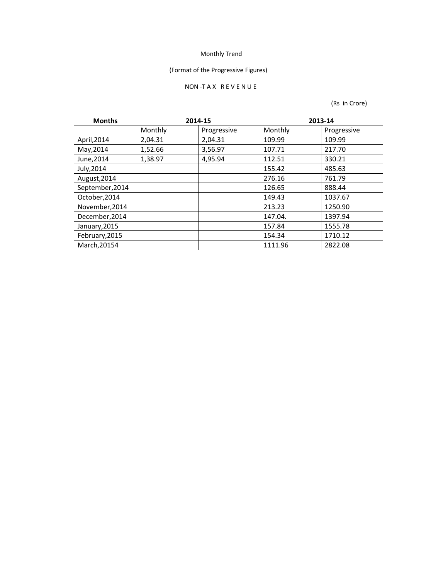# (Format of the Progressive Figures)

### NON ‐T A X R E V E N U E

| <b>Months</b>   | 2014-15 |             |         | 2013-14     |
|-----------------|---------|-------------|---------|-------------|
|                 | Monthly | Progressive | Monthly | Progressive |
| April, 2014     | 2,04.31 | 2,04.31     | 109.99  | 109.99      |
| May, 2014       | 1,52.66 | 3,56.97     | 107.71  | 217.70      |
| June, 2014      | 1,38.97 | 4,95.94     | 112.51  | 330.21      |
| July, 2014      |         |             | 155.42  | 485.63      |
| August, 2014    |         |             | 276.16  | 761.79      |
| September, 2014 |         |             | 126.65  | 888.44      |
| October, 2014   |         |             | 149.43  | 1037.67     |
| November, 2014  |         |             | 213.23  | 1250.90     |
| December, 2014  |         |             | 147.04. | 1397.94     |
| January, 2015   |         |             | 157.84  | 1555.78     |
| February, 2015  |         |             | 154.34  | 1710.12     |
| March, 20154    |         |             | 1111.96 | 2822.08     |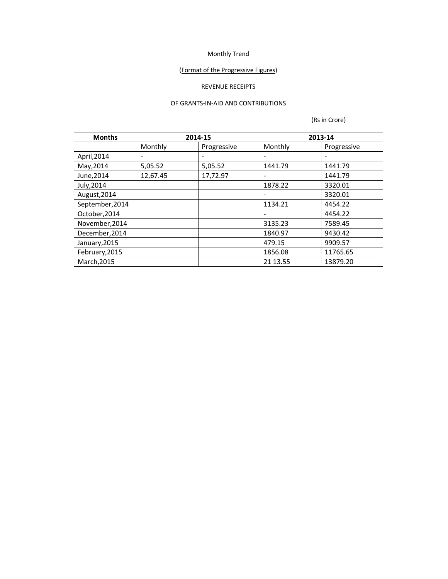# (Format of the Progressive Figures)

## REVENUE RECEIPTS

#### OF GRANTS‐IN‐AID AND CONTRIBUTIONS

| <b>Months</b>   |          | 2014-15     |                          | 2013-14     |
|-----------------|----------|-------------|--------------------------|-------------|
|                 | Monthly  | Progressive | Monthly                  | Progressive |
| April, 2014     | -        |             |                          |             |
| May, 2014       | 5,05.52  | 5,05.52     | 1441.79                  | 1441.79     |
| June, 2014      | 12,67.45 | 17,72.97    | -                        | 1441.79     |
| July, 2014      |          |             | 1878.22                  | 3320.01     |
| August, 2014    |          |             | $\overline{\phantom{a}}$ | 3320.01     |
| September, 2014 |          |             | 1134.21                  | 4454.22     |
| October, 2014   |          |             |                          | 4454.22     |
| November, 2014  |          |             | 3135.23                  | 7589.45     |
| December, 2014  |          |             | 1840.97                  | 9430.42     |
| January, 2015   |          |             | 479.15                   | 9909.57     |
| February, 2015  |          |             | 1856.08                  | 11765.65    |
| March, 2015     |          |             | 21 13.55                 | 13879.20    |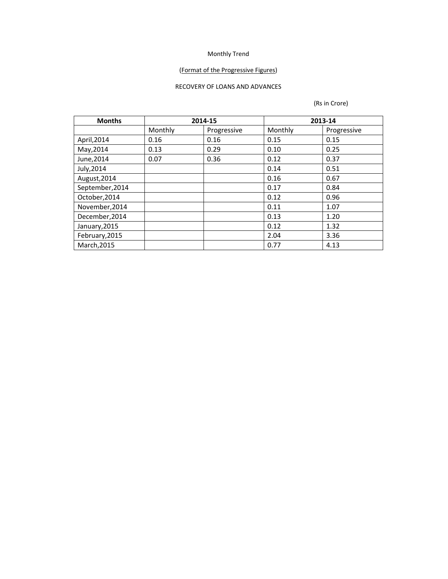### (Format of the Progressive Figures)

#### RECOVERY OF LOANS AND ADVANCES

| <b>Months</b>   | 2014-15 |             | 2013-14 |             |
|-----------------|---------|-------------|---------|-------------|
|                 | Monthly | Progressive | Monthly | Progressive |
| April, 2014     | 0.16    | 0.16        | 0.15    | 0.15        |
| May, 2014       | 0.13    | 0.29        | 0.10    | 0.25        |
| June, 2014      | 0.07    | 0.36        | 0.12    | 0.37        |
| July, 2014      |         |             | 0.14    | 0.51        |
| August, 2014    |         |             | 0.16    | 0.67        |
| September, 2014 |         |             | 0.17    | 0.84        |
| October, 2014   |         |             | 0.12    | 0.96        |
| November, 2014  |         |             | 0.11    | 1.07        |
| December, 2014  |         |             | 0.13    | 1.20        |
| January, 2015   |         |             | 0.12    | 1.32        |
| February, 2015  |         |             | 2.04    | 3.36        |
| March, 2015     |         |             | 0.77    | 4.13        |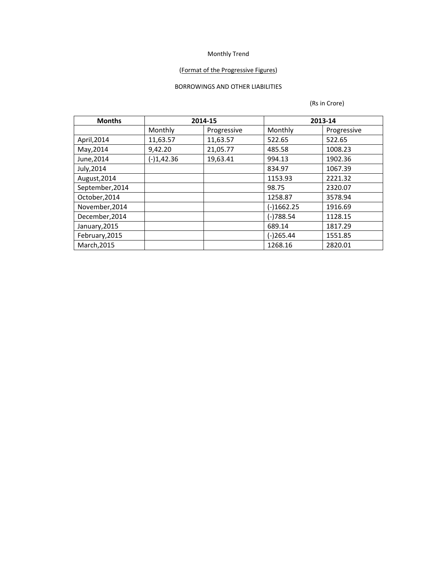### (Format of the Progressive Figures)

## BORROWINGS AND OTHER LIABILITIES

| <b>Months</b>   |              | 2014-15     | 2013-14      |             |
|-----------------|--------------|-------------|--------------|-------------|
|                 | Monthly      | Progressive | Monthly      | Progressive |
| April, 2014     | 11,63.57     | 11,63.57    | 522.65       | 522.65      |
| May, 2014       | 9,42.20      | 21,05.77    | 485.58       | 1008.23     |
| June, 2014      | $(-)1,42.36$ | 19,63.41    | 994.13       | 1902.36     |
| July, 2014      |              |             | 834.97       | 1067.39     |
| August, 2014    |              |             | 1153.93      | 2221.32     |
| September, 2014 |              |             | 98.75        | 2320.07     |
| October, 2014   |              |             | 1258.87      | 3578.94     |
| November, 2014  |              |             | $(-)1662.25$ | 1916.69     |
| December, 2014  |              |             | (-)788.54    | 1128.15     |
| January, 2015   |              |             | 689.14       | 1817.29     |
| February, 2015  |              |             | $(-)265.44$  | 1551.85     |
| March, 2015     |              |             | 1268.16      | 2820.01     |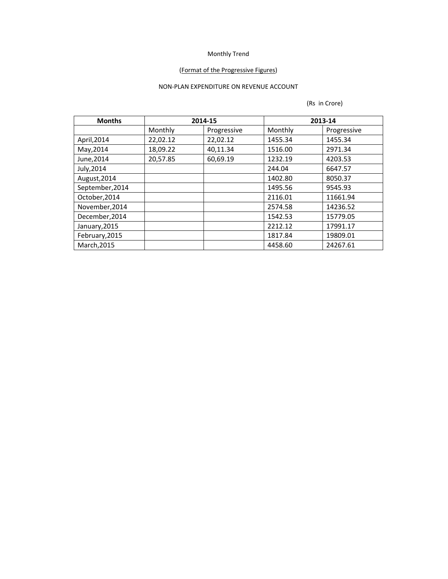### (Format of the Progressive Figures)

## NON‐PLAN EXPENDITURE ON REVENUE ACCOUNT

| <b>Months</b>   |          | 2014-15     | 2013-14 |             |
|-----------------|----------|-------------|---------|-------------|
|                 | Monthly  | Progressive | Monthly | Progressive |
| April, 2014     | 22,02.12 | 22,02.12    | 1455.34 | 1455.34     |
| May, 2014       | 18,09.22 | 40,11.34    | 1516.00 | 2971.34     |
| June, 2014      | 20,57.85 | 60,69.19    | 1232.19 | 4203.53     |
| July, 2014      |          |             | 244.04  | 6647.57     |
| August, 2014    |          |             | 1402.80 | 8050.37     |
| September, 2014 |          |             | 1495.56 | 9545.93     |
| October, 2014   |          |             | 2116.01 | 11661.94    |
| November, 2014  |          |             | 2574.58 | 14236.52    |
| December, 2014  |          |             | 1542.53 | 15779.05    |
| January, 2015   |          |             | 2212.12 | 17991.17    |
| February, 2015  |          |             | 1817.84 | 19809.01    |
| March, 2015     |          |             | 4458.60 | 24267.61    |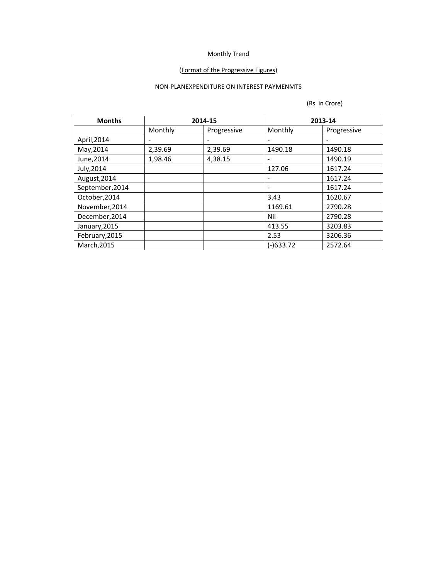### (Format of the Progressive Figures)

## NON‐PLANEXPENDITURE ON INTEREST PAYMENMTS

| <b>Months</b>   | 2014-15                  |             |             | 2013-14     |
|-----------------|--------------------------|-------------|-------------|-------------|
|                 | Monthly                  | Progressive | Monthly     | Progressive |
| April, 2014     | $\overline{\phantom{a}}$ | -           |             |             |
| May, 2014       | 2,39.69                  | 2,39.69     | 1490.18     | 1490.18     |
| June, 2014      | 1,98.46                  | 4,38.15     |             | 1490.19     |
| July, 2014      |                          |             | 127.06      | 1617.24     |
| August, 2014    |                          |             |             | 1617.24     |
| September, 2014 |                          |             |             | 1617.24     |
| October, 2014   |                          |             | 3.43        | 1620.67     |
| November, 2014  |                          |             | 1169.61     | 2790.28     |
| December, 2014  |                          |             | Nil         | 2790.28     |
| January, 2015   |                          |             | 413.55      | 3203.83     |
| February, 2015  |                          |             | 2.53        | 3206.36     |
| March, 2015     |                          |             | $(-)633.72$ | 2572.64     |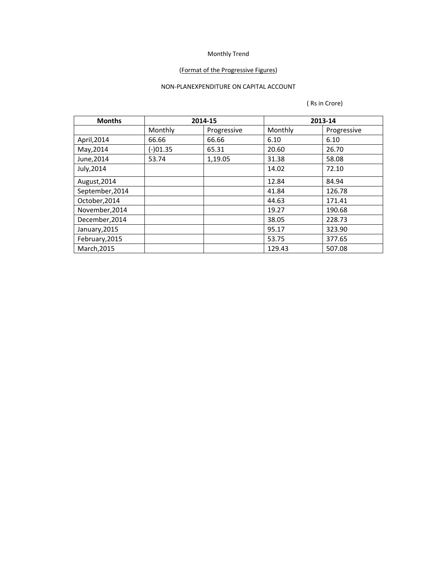### (Format of the Progressive Figures)

## NON‐PLANEXPENDITURE ON CAPITAL ACCOUNT

| <b>Months</b>   |          | 2014-15     |         | 2013-14     |
|-----------------|----------|-------------|---------|-------------|
|                 | Monthly  | Progressive | Monthly | Progressive |
| April, 2014     | 66.66    | 66.66       | 6.10    | 6.10        |
| May, 2014       | (-)01.35 | 65.31       | 20.60   | 26.70       |
| June, 2014      | 53.74    | 1,19.05     | 31.38   | 58.08       |
| July, 2014      |          |             | 14.02   | 72.10       |
| August, 2014    |          |             | 12.84   | 84.94       |
| September, 2014 |          |             | 41.84   | 126.78      |
| October, 2014   |          |             | 44.63   | 171.41      |
| November, 2014  |          |             | 19.27   | 190.68      |
| December, 2014  |          |             | 38.05   | 228.73      |
| January, 2015   |          |             | 95.17   | 323.90      |
| February, 2015  |          |             | 53.75   | 377.65      |
| March, 2015     |          |             | 129.43  | 507.08      |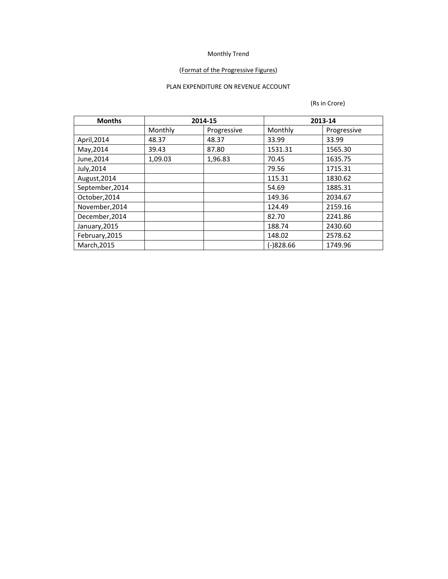### (Format of the Progressive Figures)

## PLAN EXPENDITURE ON REVENUE ACCOUNT

| <b>Months</b>   |         | 2014-15     |             | 2013-14     |
|-----------------|---------|-------------|-------------|-------------|
|                 | Monthly | Progressive | Monthly     | Progressive |
| April, 2014     | 48.37   | 48.37       | 33.99       | 33.99       |
| May, 2014       | 39.43   | 87.80       | 1531.31     | 1565.30     |
| June, 2014      | 1,09.03 | 1,96.83     | 70.45       | 1635.75     |
| July, 2014      |         |             | 79.56       | 1715.31     |
| August, 2014    |         |             | 115.31      | 1830.62     |
| September, 2014 |         |             | 54.69       | 1885.31     |
| October, 2014   |         |             | 149.36      | 2034.67     |
| November, 2014  |         |             | 124.49      | 2159.16     |
| December, 2014  |         |             | 82.70       | 2241.86     |
| January, 2015   |         |             | 188.74      | 2430.60     |
| February, 2015  |         |             | 148.02      | 2578.62     |
| March, 2015     |         |             | $(-)828.66$ | 1749.96     |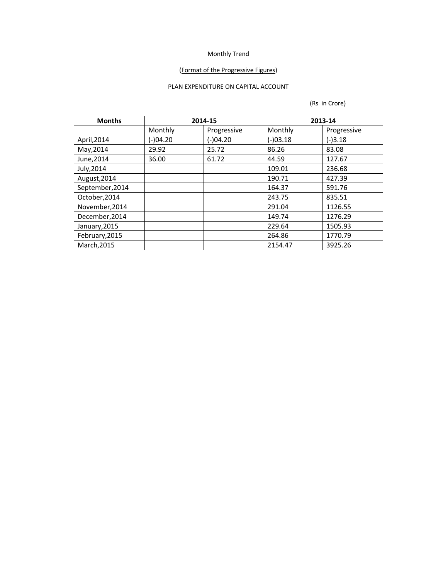### (Format of the Progressive Figures)

## PLAN EXPENDITURE ON CAPITAL ACCOUNT

| <b>Months</b>   | 2014-15    |             | 2013-14    |             |
|-----------------|------------|-------------|------------|-------------|
|                 | Monthly    | Progressive | Monthly    | Progressive |
| April, 2014     | $(-)04.20$ | (-)04.20    | $(-)03.18$ | $(-)3.18$   |
| May, 2014       | 29.92      | 25.72       | 86.26      | 83.08       |
| June, 2014      | 36.00      | 61.72       | 44.59      | 127.67      |
| July, 2014      |            |             | 109.01     | 236.68      |
| August, 2014    |            |             | 190.71     | 427.39      |
| September, 2014 |            |             | 164.37     | 591.76      |
| October, 2014   |            |             | 243.75     | 835.51      |
| November, 2014  |            |             | 291.04     | 1126.55     |
| December, 2014  |            |             | 149.74     | 1276.29     |
| January, 2015   |            |             | 229.64     | 1505.93     |
| February, 2015  |            |             | 264.86     | 1770.79     |
| March, 2015     |            |             | 2154.47    | 3925.26     |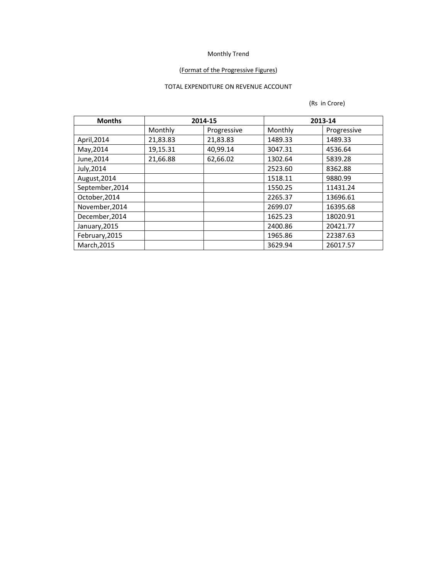### (Format of the Progressive Figures)

## TOTAL EXPENDITURE ON REVENUE ACCOUNT

| <b>Months</b>   | 2014-15  |             | 2013-14 |             |
|-----------------|----------|-------------|---------|-------------|
|                 | Monthly  | Progressive | Monthly | Progressive |
| April, 2014     | 21,83.83 | 21,83.83    | 1489.33 | 1489.33     |
| May, 2014       | 19,15.31 | 40,99.14    | 3047.31 | 4536.64     |
| June, 2014      | 21,66.88 | 62,66.02    | 1302.64 | 5839.28     |
| July, 2014      |          |             | 2523.60 | 8362.88     |
| August, 2014    |          |             | 1518.11 | 9880.99     |
| September, 2014 |          |             | 1550.25 | 11431.24    |
| October, 2014   |          |             | 2265.37 | 13696.61    |
| November, 2014  |          |             | 2699.07 | 16395.68    |
| December, 2014  |          |             | 1625.23 | 18020.91    |
| January, 2015   |          |             | 2400.86 | 20421.77    |
| February, 2015  |          |             | 1965.86 | 22387.63    |
| March, 2015     |          |             | 3629.94 | 26017.57    |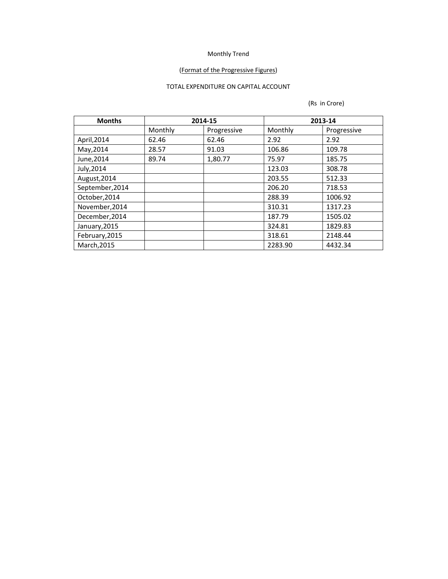# (Format of the Progressive Figures)

## TOTAL EXPENDITURE ON CAPITAL ACCOUNT

| <b>Months</b>   | 2014-15 |             | 2013-14           |             |
|-----------------|---------|-------------|-------------------|-------------|
|                 | Monthly | Progressive | Monthly           | Progressive |
| April, 2014     | 62.46   | 62.46       | 2.92              | 2.92        |
| May, 2014       | 28.57   | 91.03       | 106.86            | 109.78      |
| June, 2014      | 89.74   | 1,80.77     | 75.97             | 185.75      |
| July, 2014      |         |             | 123.03            | 308.78      |
| August, 2014    |         |             | 203.55            | 512.33      |
| September, 2014 |         |             | 206.20            | 718.53      |
| October, 2014   |         |             | 288.39<br>1006.92 |             |
| November, 2014  |         |             | 310.31            | 1317.23     |
| December, 2014  |         |             | 187.79            | 1505.02     |
| January, 2015   |         |             | 324.81            | 1829.83     |
| February, 2015  |         |             | 318.61            | 2148.44     |
| March, 2015     |         |             | 2283.90           | 4432.34     |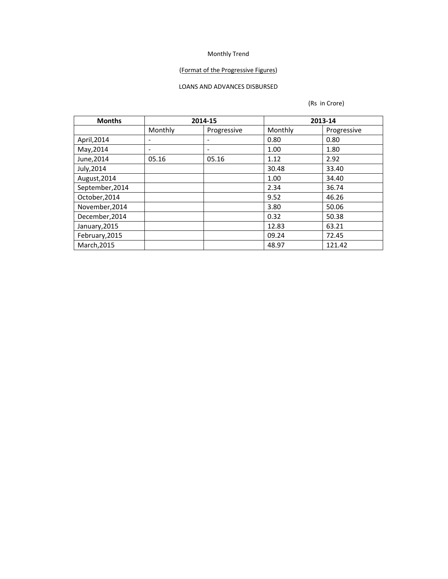### (Format of the Progressive Figures)

## LOANS AND ADVANCES DISBURSED

| <b>Months</b>   | 2014-15                  |             | 2013-14 |             |  |
|-----------------|--------------------------|-------------|---------|-------------|--|
|                 | Monthly                  | Progressive | Monthly | Progressive |  |
| April, 2014     | $\overline{\phantom{a}}$ | -           | 0.80    | 0.80        |  |
| May, 2014       | $\overline{\phantom{a}}$ | ۰           | 1.00    | 1.80        |  |
| June, 2014      | 05.16                    | 05.16       | 1.12    | 2.92        |  |
| July, 2014      |                          |             | 30.48   | 33.40       |  |
| August, 2014    |                          |             | 1.00    | 34.40       |  |
| September, 2014 |                          |             | 2.34    | 36.74       |  |
| October, 2014   |                          |             | 9.52    | 46.26       |  |
| November, 2014  |                          |             | 3.80    | 50.06       |  |
| December, 2014  |                          |             | 0.32    | 50.38       |  |
| January, 2015   |                          |             | 12.83   | 63.21       |  |
| February, 2015  |                          |             | 09.24   | 72.45       |  |
| March, 2015     |                          |             | 48.97   | 121.42      |  |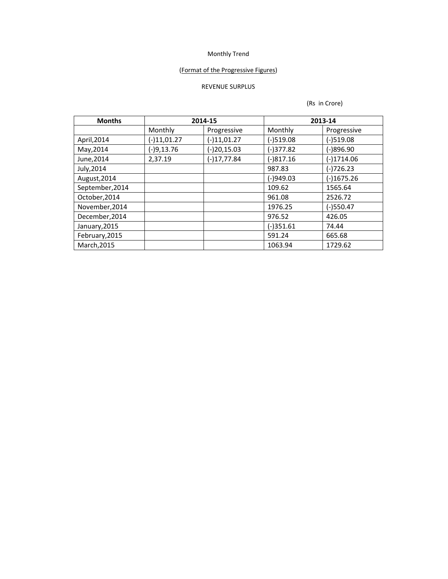### (Format of the Progressive Figures)

## REVENUE SURPLUS

| <b>Months</b>   | 2014-15       |               | 2013-14     |              |  |
|-----------------|---------------|---------------|-------------|--------------|--|
|                 | Monthly       | Progressive   | Monthly     | Progressive  |  |
| April, 2014     | $(-)11,01.27$ | $(-)11,01.27$ | $(-)519.08$ | $(-)519.08$  |  |
| May, 2014       | $(-)9, 13.76$ | (-)20,15.03   | $(-)377.82$ | $(-)896.90$  |  |
| June, 2014      | 2,37.19       | $(-)17,77.84$ | $(-)817.16$ | $(-)1714.06$ |  |
| July, 2014      |               |               | 987.83      | $(-)726.23$  |  |
| August, 2014    |               |               | $(-)949.03$ | $(-)1675.26$ |  |
| September, 2014 |               |               | 109.62      | 1565.64      |  |
| October, 2014   |               |               | 961.08      | 2526.72      |  |
| November, 2014  |               |               | 1976.25     | $(-)550.47$  |  |
| December, 2014  |               |               | 976.52      | 426.05       |  |
| January, 2015   |               |               | $(-)351.61$ | 74.44        |  |
| February, 2015  |               |               | 591.24      | 665.68       |  |
| March, 2015     |               |               | 1063.94     | 1729.62      |  |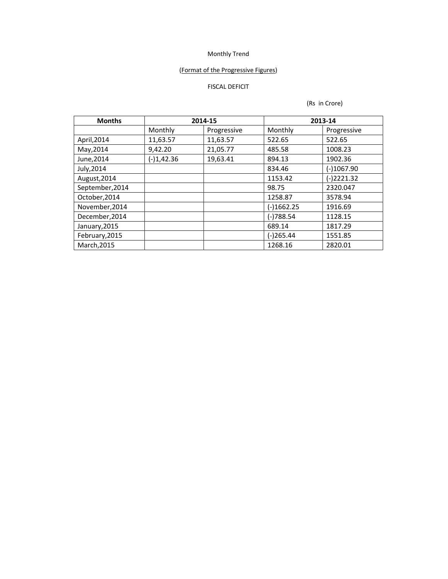## (Format of the Progressive Figures)

# FISCAL DEFICIT

| <b>Months</b>   | 2014-15      |             | 2013-14      |              |
|-----------------|--------------|-------------|--------------|--------------|
|                 | Monthly      | Progressive | Monthly      | Progressive  |
| April, 2014     | 11,63.57     | 11,63.57    | 522.65       | 522.65       |
| May, 2014       | 9,42.20      | 21,05.77    | 485.58       | 1008.23      |
| June, 2014      | $(-)1,42.36$ | 19,63.41    | 894.13       | 1902.36      |
| July, 2014      |              |             | 834.46       | $(-)1067.90$ |
| August, 2014    |              |             | 1153.42      | $(-)2221.32$ |
| September, 2014 |              |             | 98.75        | 2320.047     |
| October, 2014   |              |             | 1258.87      | 3578.94      |
| November, 2014  |              |             | $(-)1662.25$ | 1916.69      |
| December, 2014  |              |             | (-)788.54    | 1128.15      |
| January, 2015   |              |             | 689.14       | 1817.29      |
| February, 2015  |              |             | $(-)265.44$  | 1551.85      |
| March, 2015     |              |             | 1268.16      | 2820.01      |